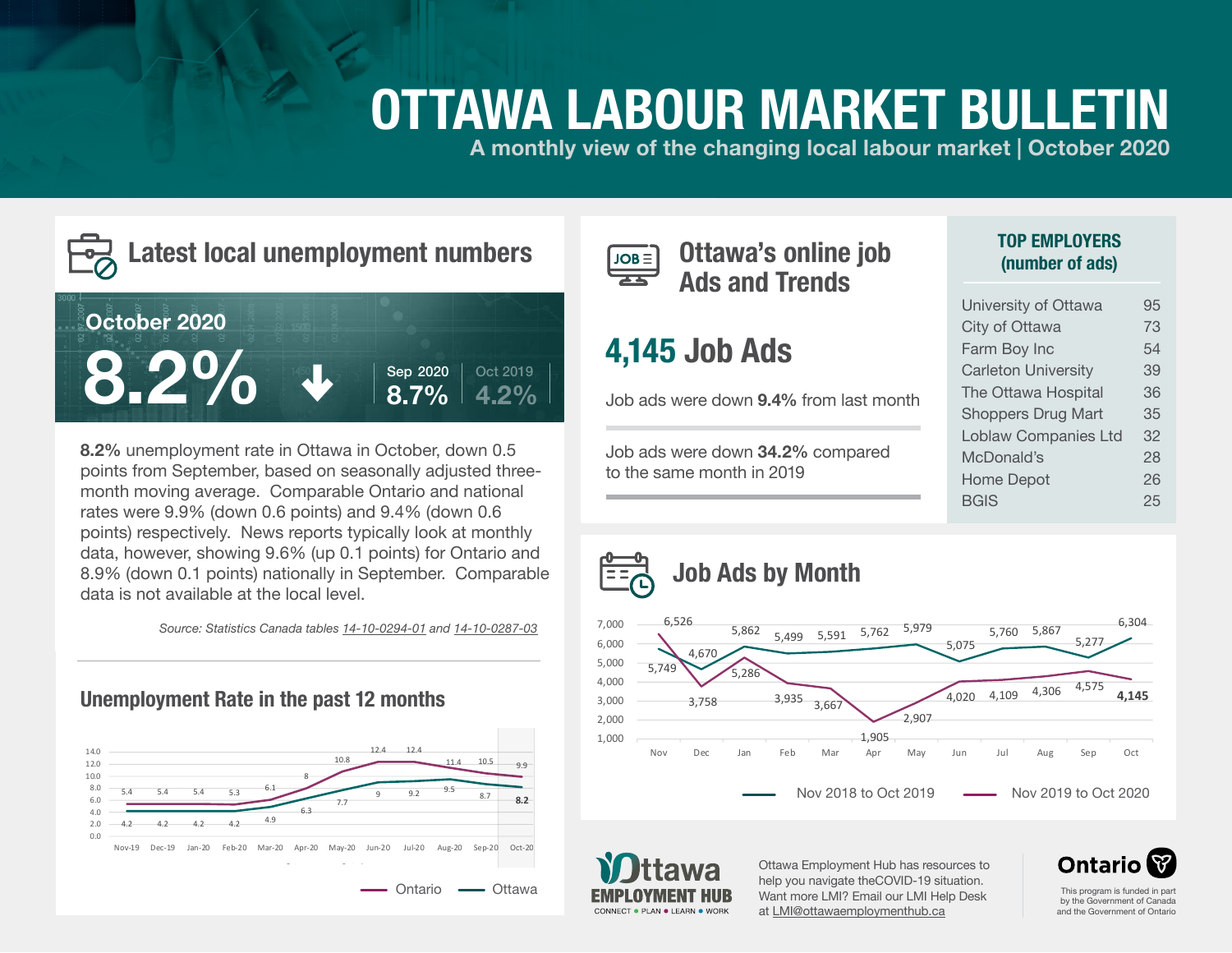# **OTTAWA LABOUR MARKET BULLETIN**

**A monthly view of the changing local labour market | October 2020**



### **Latest local unemployment numbers**



**8.2%** unemployment rate in Ottawa in October, down 0.5 points from September, based on seasonally adjusted threemonth moving average. Comparable Ontario and national rates were 9.9% (down 0.6 points) and 9.4% (down 0.6 points) respectively. News reports typically look at monthly data, however, showing 9.6% (up 0.1 points) for Ontario and 8.9% (down 0.1 points) nationally in September. Comparable data is not available at the local level.

*Source: Statistics Canada tables [14-10-0294-01](https://www150.statcan.gc.ca/t1/tbl1/en/tv.action?pid=1410029401) and [14-10-0287-03](https://www150.statcan.gc.ca/t1/tbl1/en/tv.action?pid=1410028703)*





**Ottawa's online job Ads and Trends**

### **4,145 Job Ads**

Job ads were down **9.4%** from last month

Job ads were down **34.2%** compared to the same month in 2019

#### **TOP EMPLOYERS (number of ads)**

| University of Ottawa        | 95 |
|-----------------------------|----|
| City of Ottawa              | 73 |
| Farm Boy Inc                | 54 |
| <b>Carleton University</b>  | 39 |
| The Ottawa Hospital         | 36 |
| <b>Shoppers Drug Mart</b>   | 35 |
| <b>Loblaw Companies Ltd</b> | 32 |
| McDonald's                  | 28 |
| <b>Home Depot</b>           | 26 |
| <b>BGIS</b>                 | 25 |





Ottawa Employment Hub has resources to help you navigate theCOVID-19 situation. Want more LMI? Email our LMI Help Desk at [LMI@ottawaemploymenthub.ca](mailto:%20LMI%40ottawaemploymenthub.ca?subject=)



This program is funded in part by the Government of Canada and the Government of Ontario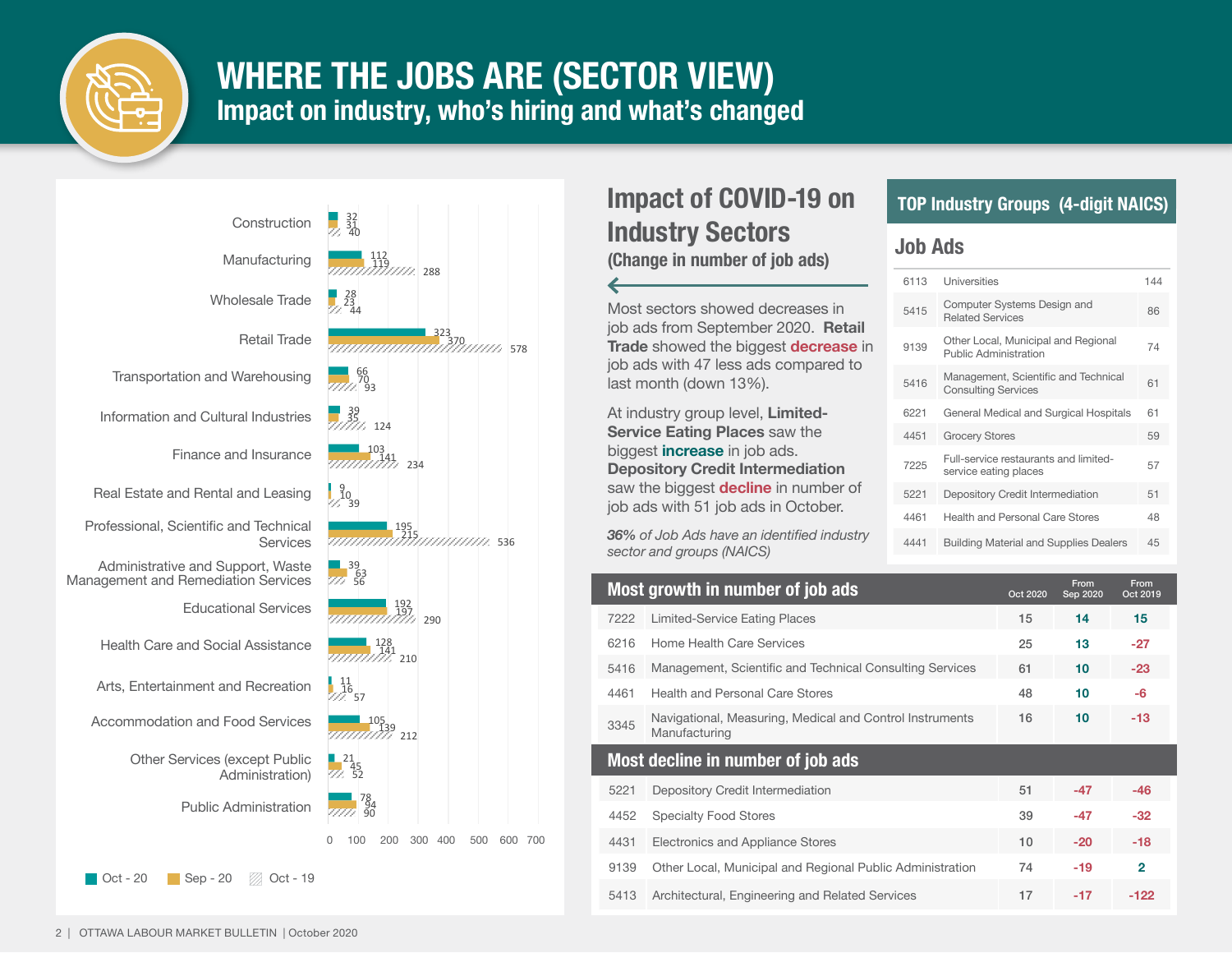

### **WHERE THE JOBS ARE (SECTOR VIEW) Impact on industry, who's hiring and what's changed**



### **Impact of COVID-19 on Industry Sectors**

**(Change in number of job ads)**

Most sectors showed decreases in job ads from September 2020. **Retail Trade** showed the biggest **decrease** in job ads with 47 less ads compared to last month (down 13%).

At industry group level, **Limited-Service Eating Places** saw the biggest **increase** in job ads. **Depository Credit Intermediation** saw the biggest **decline** in number of job ads with 51 job ads in October.

*36% of Job Ads have an identified industry sector and groups (NAICS)*

#### **TOP Industry Groups (4-digit NAICS)**

#### **Job Ads**

| 6113 | Universities                                                        | 144 |
|------|---------------------------------------------------------------------|-----|
| 5415 | Computer Systems Design and<br><b>Related Services</b>              | 86  |
| 9139 | Other Local, Municipal and Regional<br><b>Public Administration</b> | 74  |
| 5416 | Management, Scientific and Technical<br><b>Consulting Services</b>  | 61  |
| 6221 | General Medical and Surgical Hospitals                              | 61  |
| 4451 | <b>Grocery Stores</b>                                               | 59  |
| 7225 | Full-service restaurants and limited-<br>service eating places      | 57  |
| 5221 | Depository Credit Intermediation                                    | 51  |
| 4461 | Health and Personal Care Stores                                     | 48  |
| 4441 | <b>Building Material and Supplies Dealers</b>                       | 45  |

|      | Most growth in number of job ads                                          | Oct 2020 | From<br>Sep 2020 | From<br>Oct 2019 |
|------|---------------------------------------------------------------------------|----------|------------------|------------------|
| 7222 | Limited-Service Eating Places                                             | 15       | 14               | 15               |
| 6216 | Home Health Care Services                                                 | 25       | 13               | $-27$            |
| 5416 | Management, Scientific and Technical Consulting Services                  | 61       | 10               | $-23$            |
| 4461 | Health and Personal Care Stores                                           | 48       | 10               | -6               |
| 3345 | Navigational, Measuring, Medical and Control Instruments<br>Manufacturing | 16       | 10 <sup>°</sup>  | $-13$            |
|      |                                                                           |          |                  |                  |
|      | Most decline in number of job ads                                         |          |                  |                  |
| 5221 | Depository Credit Intermediation                                          | 51       | $-47$            | $-46$            |
| 4452 | <b>Specialty Food Stores</b>                                              | 39       | $-47$            | $-32$            |
| 4431 | Electronics and Appliance Stores                                          | 10       | $-20$            | $-18$            |
| 9139 | Other Local, Municipal and Regional Public Administration                 | 74       | $-19$            | $\overline{2}$   |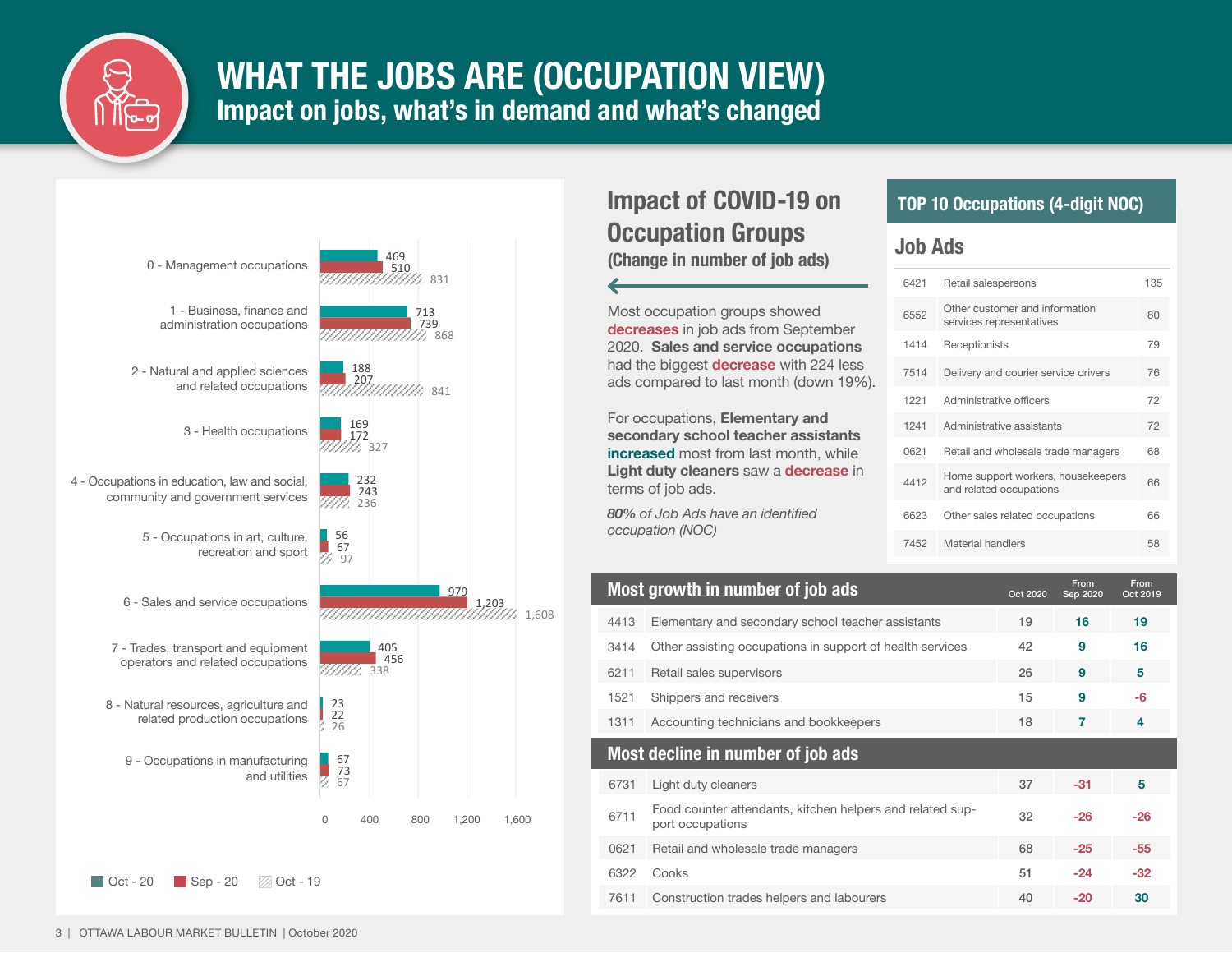

### **WHAT THE JOBS ARE (OCCUPATION VIEW) Impact on jobs, what's in demand and what's changed**



#### **Impact of COVID-19 on Occupation Groups (Change in number of job ads)**

Most occupation groups showed **decreases** in job ads from September 2020. **Sales and service occupations**  had the biggest **decrease** with 224 less ads compared to last month (down 19%).

For occupations, **Elementary and secondary school teacher assistants increased** most from last month, while **Light duty cleaners** saw a **decrease** in terms of job ads.

*80% of Job Ads have an identified occupation (NOC)*

#### **TOP 10 Occupations (4-digit NOC)**

#### **Job Ads**

| 6421 | Retail salespersons                                           | 135 |
|------|---------------------------------------------------------------|-----|
| 6552 | Other customer and information<br>services representatives    | 80  |
| 1414 | Receptionists                                                 | 79  |
| 7514 | Delivery and courier service drivers                          | 76  |
| 1221 | Administrative officers                                       | 72  |
| 1241 | Administrative assistants                                     | 72  |
| 0621 | Retail and wholesale trade managers                           | 68  |
| 4412 | Home support workers, housekeepers<br>and related occupations | 66  |
| 6623 | Other sales related occupations                               | 66  |
| 7452 | Material handlers                                             | 58  |

|                                                                               | Oct 2020                                                              | From<br>Sep 2020 | From<br>Oct 2019 |
|-------------------------------------------------------------------------------|-----------------------------------------------------------------------|------------------|------------------|
| Elementary and secondary school teacher assistants                            | 19                                                                    | 16               | 19               |
| Other assisting occupations in support of health services                     | 42                                                                    | 9                | 16               |
| Retail sales supervisors                                                      | 26                                                                    | 9                | 5                |
| Shippers and receivers                                                        | 15                                                                    | 9                | $-6$             |
| Accounting technicians and bookkeepers                                        | 18                                                                    | 7                | 4                |
|                                                                               |                                                                       |                  |                  |
| Light duty cleaners                                                           | 37                                                                    | $-31$            | 5                |
| Food counter attendants, kitchen helpers and related sup-<br>port occupations | 32                                                                    | $-26$            | $-26$            |
| Retail and wholesale trade managers                                           | 68                                                                    | $-25$            | $-55$            |
| Cooks                                                                         | 51                                                                    | $-24$            | $-32$            |
| Construction trades helpers and labourers                                     | 40                                                                    | -20              | 30               |
|                                                                               | Most growth in number of job ads<br>Most decline in number of job ads |                  |                  |